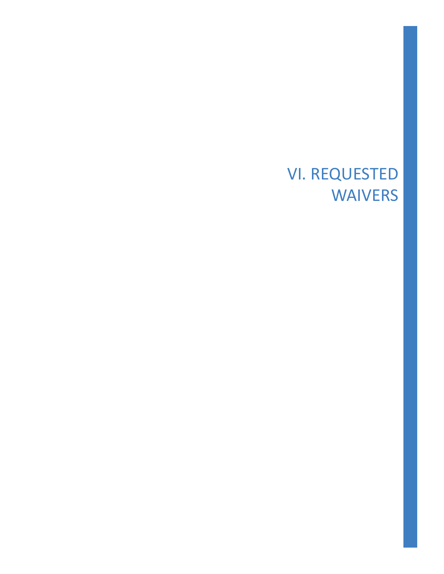## VI. REQUESTED WAIVERS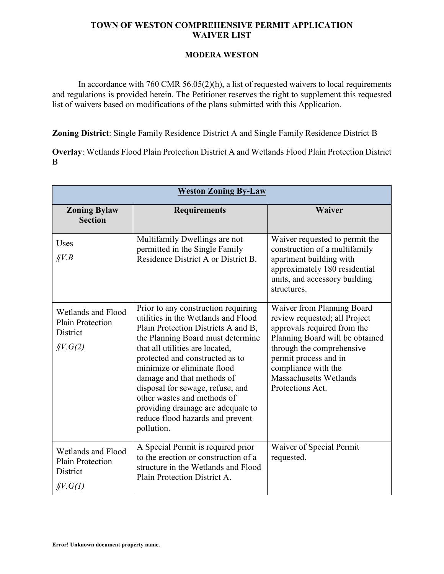## **TOWN OF WESTON COMPREHENSIVE PERMIT APPLICATION WAIVER LIST**

## **MODERA WESTON**

In accordance with 760 CMR 56.05(2)(h), a list of requested waivers to local requirements and regulations is provided herein. The Petitioner reserves the right to supplement this requested list of waivers based on modifications of the plans submitted with this Application.

**Zoning District**: Single Family Residence District A and Single Family Residence District B

**Overlay**: Wetlands Flood Plain Protection District A and Wetlands Flood Plain Protection District B

| <b>Weston Zoning By-Law</b>                                                       |                                                                                                                                                                                                                                                                                                                                                                                                                                                      |                                                                                                                                                                                                                                                                 |  |
|-----------------------------------------------------------------------------------|------------------------------------------------------------------------------------------------------------------------------------------------------------------------------------------------------------------------------------------------------------------------------------------------------------------------------------------------------------------------------------------------------------------------------------------------------|-----------------------------------------------------------------------------------------------------------------------------------------------------------------------------------------------------------------------------------------------------------------|--|
| <b>Zoning Bylaw</b><br><b>Section</b>                                             | <b>Requirements</b>                                                                                                                                                                                                                                                                                                                                                                                                                                  | Waiver                                                                                                                                                                                                                                                          |  |
| Uses<br>$\S V.B$                                                                  | Multifamily Dwellings are not<br>permitted in the Single Family<br>Residence District A or District B.                                                                                                                                                                                                                                                                                                                                               | Waiver requested to permit the<br>construction of a multifamily<br>apartment building with<br>approximately 180 residential<br>units, and accessory building<br>structures.                                                                                     |  |
| Wetlands and Flood<br><b>Plain Protection</b><br>District<br>$\oint V. G(2)$      | Prior to any construction requiring<br>utilities in the Wetlands and Flood<br>Plain Protection Districts A and B,<br>the Planning Board must determine<br>that all utilities are located,<br>protected and constructed as to<br>minimize or eliminate flood<br>damage and that methods of<br>disposal for sewage, refuse, and<br>other wastes and methods of<br>providing drainage are adequate to<br>reduce flood hazards and prevent<br>pollution. | Waiver from Planning Board<br>review requested; all Project<br>approvals required from the<br>Planning Board will be obtained<br>through the comprehensive<br>permit process and in<br>compliance with the<br><b>Massachusetts Wetlands</b><br>Protections Act. |  |
| Wetlands and Flood<br><b>Plain Protection</b><br>District<br>$\oint V \cdot G(l)$ | A Special Permit is required prior<br>to the erection or construction of a<br>structure in the Wetlands and Flood<br>Plain Protection District A.                                                                                                                                                                                                                                                                                                    | Waiver of Special Permit<br>requested.                                                                                                                                                                                                                          |  |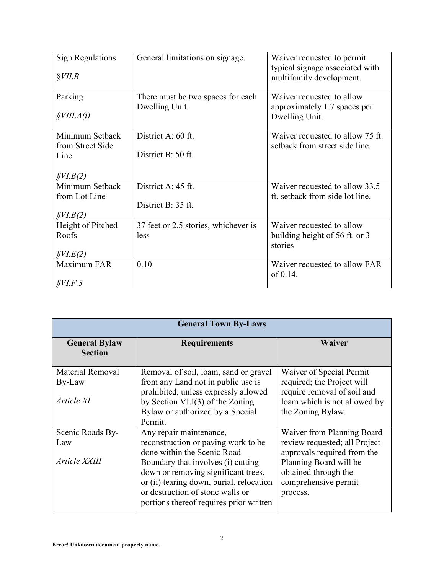| <b>Sign Regulations</b>        | General limitations on signage.      | Waiver requested to permit       |
|--------------------------------|--------------------------------------|----------------------------------|
|                                |                                      | typical signage associated with  |
| $\S VII.B$                     |                                      | multifamily development.         |
|                                |                                      |                                  |
| Parking                        | There must be two spaces for each    | Waiver requested to allow        |
|                                | Dwelling Unit.                       | approximately 1.7 spaces per     |
| $\frac{\delta VIII.A(i)}{}$    |                                      | Dwelling Unit.                   |
| Minimum Setback                | District A: 60 ft.                   | Waiver requested to allow 75 ft. |
| from Street Side               |                                      | setback from street side line.   |
| Line                           | District B: 50 ft.                   |                                  |
|                                |                                      |                                  |
| $\frac{\mathcal{S}VI.B(2)}{2}$ |                                      |                                  |
| Minimum Setback                | District A: 45 ft.                   | Waiver requested to allow 33.5   |
| from Lot Line                  |                                      | ft. setback from side lot line.  |
|                                | District B: 35 ft.                   |                                  |
| \$VI.B(2)                      |                                      |                                  |
| Height of Pitched              | 37 feet or 2.5 stories, whichever is | Waiver requested to allow        |
| Roofs                          | less                                 | building height of 56 ft. or 3   |
|                                |                                      | stories                          |
| \$V <sub>L</sub> (2)           |                                      |                                  |
| Maximum FAR                    | 0.10                                 | Waiver requested to allow FAR    |
|                                |                                      | of 0.14.                         |
| $$V\!I.F.3$$                   |                                      |                                  |

| <b>General Town By-Laws</b>                     |                                                                                                                                                                                                                                                                                                       |                                                                                                                                                                                  |  |
|-------------------------------------------------|-------------------------------------------------------------------------------------------------------------------------------------------------------------------------------------------------------------------------------------------------------------------------------------------------------|----------------------------------------------------------------------------------------------------------------------------------------------------------------------------------|--|
| <b>General Bylaw</b><br><b>Section</b>          | <b>Requirements</b>                                                                                                                                                                                                                                                                                   | Waiver                                                                                                                                                                           |  |
| <b>Material Removal</b><br>By-Law<br>Article XI | Removal of soil, loam, sand or gravel<br>from any Land not in public use is<br>prohibited, unless expressly allowed<br>by Section VI.I $(3)$ of the Zoning<br>Bylaw or authorized by a Special<br>Permit.                                                                                             | Waiver of Special Permit<br>required; the Project will<br>require removal of soil and<br>loam which is not allowed by<br>the Zoning Bylaw.                                       |  |
| Scenic Roads By-<br>Law<br>Article XXIII        | Any repair maintenance,<br>reconstruction or paving work to be<br>done within the Scenic Road<br>Boundary that involves (i) cutting<br>down or removing significant trees,<br>or (ii) tearing down, burial, relocation<br>or destruction of stone walls or<br>portions thereof requires prior written | Waiver from Planning Board<br>review requested; all Project<br>approvals required from the<br>Planning Board will be<br>obtained through the<br>comprehensive permit<br>process. |  |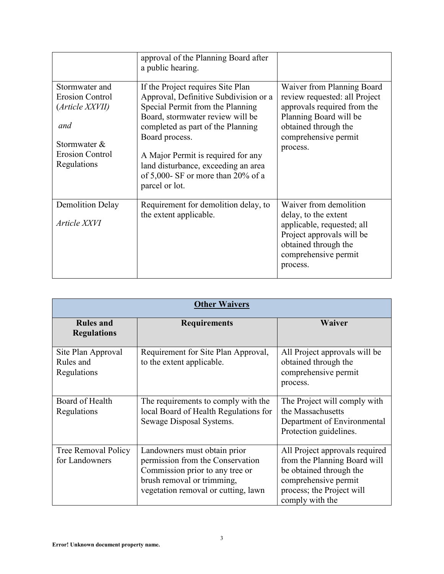|                                                                                                                      | approval of the Planning Board after<br>a public hearing.                                                                                                                                                                                                                                                                                      |                                                                                                                                                                                  |
|----------------------------------------------------------------------------------------------------------------------|------------------------------------------------------------------------------------------------------------------------------------------------------------------------------------------------------------------------------------------------------------------------------------------------------------------------------------------------|----------------------------------------------------------------------------------------------------------------------------------------------------------------------------------|
| Stormwater and<br><b>Erosion Control</b><br>(Article XXVII)<br>and<br>Stormwater &<br>Erosion Control<br>Regulations | If the Project requires Site Plan<br>Approval, Definitive Subdivision or a<br>Special Permit from the Planning<br>Board, stormwater review will be<br>completed as part of the Planning<br>Board process.<br>A Major Permit is required for any<br>land disturbance, exceeding an area<br>of 5,000- SF or more than 20% of a<br>parcel or lot. | Waiver from Planning Board<br>review requested: all Project<br>approvals required from the<br>Planning Board will be<br>obtained through the<br>comprehensive permit<br>process. |
| <b>Demolition Delay</b><br>Article XXVI                                                                              | Requirement for demolition delay, to<br>the extent applicable.                                                                                                                                                                                                                                                                                 | Waiver from demolition<br>delay, to the extent<br>applicable, requested; all<br>Project approvals will be<br>obtained through the<br>comprehensive permit<br>process.            |

| <b>Other Waivers</b>                           |                                                                                                                                                                          |                                                                                                                                                                   |
|------------------------------------------------|--------------------------------------------------------------------------------------------------------------------------------------------------------------------------|-------------------------------------------------------------------------------------------------------------------------------------------------------------------|
| <b>Rules and</b><br><b>Regulations</b>         | <b>Requirements</b>                                                                                                                                                      | Waiver                                                                                                                                                            |
| Site Plan Approval<br>Rules and<br>Regulations | Requirement for Site Plan Approval,<br>to the extent applicable.                                                                                                         | All Project approvals will be<br>obtained through the<br>comprehensive permit<br>process.                                                                         |
| Board of Health<br>Regulations                 | The requirements to comply with the<br>local Board of Health Regulations for<br>Sewage Disposal Systems.                                                                 | The Project will comply with<br>the Massachusetts<br>Department of Environmental<br>Protection guidelines.                                                        |
| Tree Removal Policy<br>for Landowners          | Landowners must obtain prior<br>permission from the Conservation<br>Commission prior to any tree or<br>brush removal or trimming,<br>vegetation removal or cutting, lawn | All Project approvals required<br>from the Planning Board will<br>be obtained through the<br>comprehensive permit<br>process; the Project will<br>comply with the |